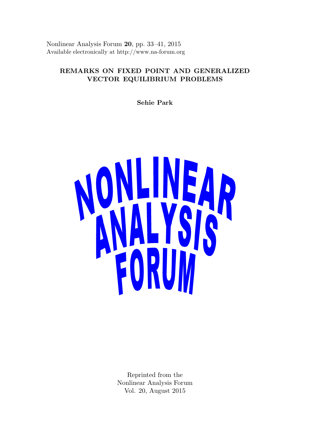Nonlinear Analysis Forum 20, pp. 33–41, 2015 Available electronically at http://www.na-forum.org

# REMARKS ON FIXED POINT AND GENERALIZED VECTOR EQUILIBRIUM PROBLEMS

Sehie Park



Reprinted from the Nonlinear Analysis Forum Vol. 20, August 2015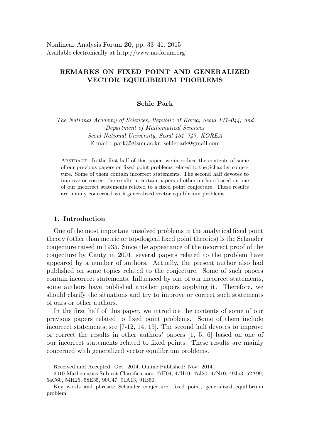# REMARKS ON FIXED POINT AND GENERALIZED VECTOR EQUILIBRIUM PROBLEMS

### Sehie Park

The National Academy of Sciences, Republic of Korea, Seoul 137–044; and Department of Mathematical Sciences Seoul National University, Seoul 151–747, KOREA E-mail : park35@snu.ac.kr, sehiepark@gmail.com

ABSTRACT. In the first half of this paper, we introduce the contents of some of our previous papers on fixed point problems related to the Schauder conjecture. Some of them contain incorrect statements. The second half devotes to improve or correct the results in certain papers of other authors based on one of our incorrect statements related to a fixed point conjecture. These results are mainly concerned with generalized vector equilibrium problems.

## 1. Introduction

One of the most important unsolved problems in the analytical fixed point theory (other than metric or topological fixed point theories) is the Schauder conjecture raised in 1935. Since the appearance of the incorrect proof of the conjecture by Cauty in 2001, several papers related to the problem have appeared by a number of authors. Actually, the present author also had published on some topics related to the conjecture. Some of such papers contain incorrect statements. Influenced by one of our incorrect statements, some authors have published another papers applying it. Therefore, we should clarify the situations and try to improve or correct such statements of ours or other authors.

In the first half of this paper, we introduce the contents of some of our previous papers related to fixed point problems. Some of them include incorrect statements; see [7-12, 14, 15]. The second half devotes to improve or correct the results in other authors' papers [1, 5, 6] based on one of our incorrect statements related to fixed points. These results are mainly concerned with generalized vector equilibrium problems.

Received and Accepted: Oct. 2014, Online Published: Nov. 2014.

<sup>2010</sup> Mathematics Subject Classification: 47H04, 47H10, 47J20, 47N10, 49J53, 52A99, 54C60, 54H25, 58E35, 90C47, 91A13, 91B50.

Key words and phrases: Schauder conjecture, fixed point, generalized equilibrium problem.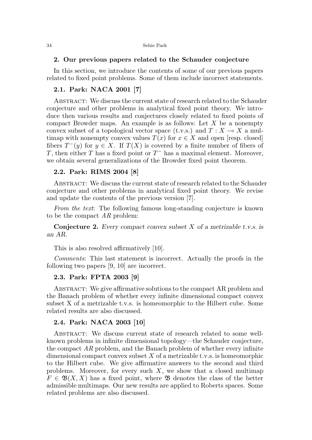#### 34 Sehie Park

#### 2. Our previous papers related to the Schauder conjecture

In this section, we introduce the contents of some of our previous papers related to fixed point problems. Some of them include incorrect statements.

## 2.1. Park: NACA 2001 [7]

Abstract: We discuss the current state of research related to the Schauder conjecture and other problems in analytical fixed point theory. We introduce then various results and conjectures closely related to fixed points of compact Browder maps. An example is as follows: Let  $X$  be a nonempty convex subset of a topological vector space (t.v.s.) and  $T : X \longrightarrow X$  a multimap with nonempty convex values  $T(x)$  for  $x \in X$  and open [resp. closed] fibers  $T^-(y)$  for  $y \in X$ . If  $T(X)$  is covered by a finite number of fibers of T, then either T has a fixed point or  $T^-$  has a maximal element. Moreover, we obtain several generalizations of the Browder fixed point theorem.

#### 2.2. Park: RIMS 2004 [8]

Abstract: We discuss the current state of research related to the Schauder conjecture and other problems in analytical fixed point theory. We revise and update the contents of the previous version [7].

From the text: The following famous long-standing conjecture is known to be the compact  $AR$  problem:

**Conjecture 2.** Every compact convex subset X of a metrizable t.v.s. is an AR.

This is also resolved affirmatively [10].

Comments: This last statement is incorrect. Actually the proofs in the following two papers [9, 10] are incorrect.

## 2.3. Park: FPTA 2003 [9]

ABSTRACT: We give affirmative solutions to the compact AR problem and the Banach problem of whether every infinite dimensional compact convex subset X of a metrizable t.v.s. is homeomorphic to the Hilbert cube. Some related results are also discussed.

#### 2.4. Park: NACA 2003 [10]

ABSTRACT: We discuss current state of research related to some wellknown problems in infinite dimensional topology—the Schauder conjecture, the compact  $AR$  problem, and the Banach problem of whether every infinite dimensional compact convex subset  $X$  of a metrizable t.v.s. is homeomorphic to the Hilbert cube. We give affirmative answers to the second and third problems. Moreover, for every such  $X$ , we show that a closed multimap  $F \in \mathfrak{B}(X,X)$  has a fixed point, where **B** denotes the class of the better admissible multimaps. Our new results are applied to Roberts spaces. Some related problems are also discussed.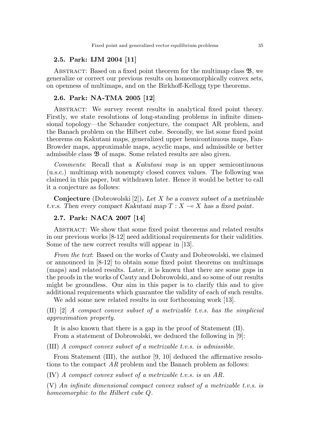### 2.5. Park: IJM 2004 [11]

ABSTRACT: Based on a fixed point theorem for the multimap class  $\mathfrak{B}$ , we generalize or correct our previous results on homeomorphically convex sets, on openness of multimaps, and on the Birkhoff-Kellogg type theorems.

#### 2.6. Park: NA-TMA 2005 [12]

ABSTRACT: We survey recent results in analytical fixed point theory. Firstly, we state resolutions of long-standing problems in infinite dimensional topology—the Schauder conjecture, the compact AR problem, and the Banach problem on the Hilbert cube. Secondly, we list some fixed point theorems on Kakutani maps, generalized upper hemicontinuous maps, Fan-Browder maps, approximable maps, acyclic maps, and admissible or better admissible class  $\mathfrak{B}$  of maps. Some related results are also given.

Comments: Recall that a Kakutani map is an upper semicontinuous (u.s.c.) multimap with nonempty closed convex values. The following was claimed in this paper, but withdrawn later. Hence it would be better to call it a conjecture as follows:

**Conjecture** (Dobrowolski [2]). Let X be a convex subset of a metrizable t.v.s. Then every compact Kakutani map  $T : X \longrightarrow X$  has a fixed point.

## 2.7. Park: NACA 2007 [14]

ABSTRACT: We show that some fixed point theorems and related results in our previous works [8-12] need additional requirements for their validities. Some of the new correct results will appear in [13].

From the text: Based on the works of Cauty and Dobrowolski, we claimed or announced in [8-12] to obtain some fixed point theorems on multimaps (maps) and related results. Later, it is known that there are some gaps in the proofs in the works of Cauty and Dobrowolski, and so some of our results might be groundless. Our aim in this paper is to clarify this and to give additional requirements which guarantee the validity of each of such results.

We add some new related results in our forthcoming work [13].

(II) [2] A compact convex subset of a metrizable t.v.s. has the simplicial approximation property.

It is also known that there is a gap in the proof of Statement (II). From a statement of Dobrowolski, we deduced the following in [9]:

(III) A compact convex subset of a metrizable t.v.s. is admissible.

From Statement (III), the author [9, 10] deduced the affirmative resolutions to the compact AR problem and the Banach problem as follows:

(IV) A compact convex subset of a metrizable t.v.s. is an AR.

(V) An infinite dimensional compact convex subset of a metrizable t.v.s. is homeomorphic to the Hilbert cube Q.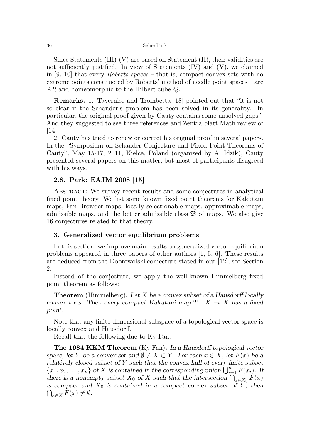#### 36 Sehie Park

Since Statements  $(III)-(V)$  are based on Statement  $(II)$ , their validities are not sufficiently justified. In view of Statements (IV) and (V), we claimed in [9, 10] that every *Roberts spaces* – that is, compact convex sets with no extreme points constructed by Roberts' method of needle point spaces – are AR and homeomorphic to the Hilbert cube  $Q$ .

Remarks. 1. Tavernise and Trombetta [18] pointed out that "it is not so clear if the Schauder's problem has been solved in its generality. In particular, the original proof given by Cauty contains some unsolved gaps." And they suggested to see three references and Zentralblatt Math review of [14].

2. Cauty has tried to renew or correct his original proof in several papers. In the "Symposium on Schauder Conjecture and Fixed Point Theorems of Cauty", May 15-17, 2011, Kielce, Poland (organized by A. Idzik), Cauty presented several papers on this matter, but most of participants disagreed with his ways.

#### 2.8. Park: EAJM 2008 [15]

Abstract: We survey recent results and some conjectures in analytical fixed point theory. We list some known fixed point theorems for Kakutani maps, Fan-Browder maps, locally selectionable maps, approximable maps, admissible maps, and the better admissible class  $\mathfrak{B}$  of maps. We also give 16 conjectures related to that theory.

#### 3. Generalized vector equilibrium problems

In this section, we improve main results on generalized vector equilibrium problems appeared in three papers of other authors [1, 5, 6]. These results are deduced from the Dobrowolski conjecture stated in our [12]; see Section 2.

Instead of the conjecture, we apply the well-known Himmelberg fixed point theorem as follows:

**Theorem** (Himmelberg). Let X be a convex subset of a Hausdorff locally convex t.v.s. Then every compact Kakutani map  $T : X \longrightarrow X$  has a fixed point.

Note that any finite dimensional subspace of a topological vector space is locally convex and Hausdorff.

Recall that the following due to Ky Fan:

The 1984 KKM Theorem (Ky Fan). In a Hausdorff topological vector space, let Y be a convex set and  $\emptyset \neq X \subset Y$ . For each  $x \in X$ , let  $F(x)$  be a relatively closed subset of  $Y$  such that the convex hull of every finite subset  ${x_1, x_2, \ldots, x_n}$  of X is contained in the corresponding union  $\bigcup_{i=1}^n F(x_i)$ . If there is a nonempty subset  $X_0$  of X such that the intersection  $\bigcap_{x \in X_0} F(x)$  $\bigcap_{x\in X} F(x) \neq \emptyset.$ is compact and  $X_0$  is contained in a compact convex subset of Y, then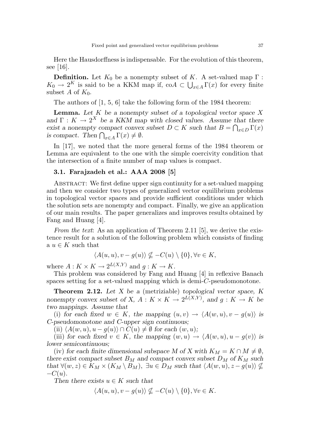Here the Hausdorffness is indispensable. For the evolution of this theorem, see [16].

**Definition.** Let  $K_0$  be a nonempty subset of K. A set-valued map  $\Gamma$ :  $K_0 \to 2^K$  is said to be a KKM map if, co $A \subset \bigcup_{x \in A} \Gamma(x)$  for every finite subset A of  $K_0$ .

The authors of [1, 5, 6] take the following form of the 1984 theorem:

**Lemma.** Let  $K$  be a nonempty subset of a topological vector space  $X$ and  $\Gamma: K \to 2^X$  be a KKM map with closed values. Assume that there exist a nonempty compact convex subset  $D \subset K$  such that  $B = \bigcap_{x \in D} \Gamma(x)$ is compact. Then  $\bigcap_{x \in A} \Gamma(x) \neq \emptyset$ .

In [17], we noted that the more general forms of the 1984 theorem or Lemma are equivalent to the one with the simple coercivity condition that the intersection of a finite number of map values is compact.

#### 3.1. Farajzadeh et al.: AAA 2008 [5]

ABSTRACT: We first define upper sign continuity for a set-valued mapping and then we consider two types of generalized vector equilibrium problems in topological vector spaces and provide sufficient conditions under which the solution sets are nonempty and compact. Finally, we give an application of our main results. The paper generalizes and improves results obtained by Fang and Huang [4].

From the text: As an application of Theorem 2.11 [5], we derive the existence result for a solution of the following problem which consists of finding a  $u \in K$  such that

$$
\langle A(u, u), v - g(u) \rangle \nsubseteq -C(u) \setminus \{0\}, \forall v \in K,
$$

where  $A: K \times K \to 2^{L(X,Y)}$  and  $g: K \to K$ .

This problem was considered by Fang and Huang [4] in reflexive Banach spaces setting for a set-valued mapping which is demi-C-pseudomonotone.

Theorem 2.12. Let X be a (metriziable) topological vector space, K nonempty convex subset of X,  $A: K \times K \to 2^{L(X,Y)}$ , and  $g: K \to K$  be two mappings. Assume that

(i) for each fixed  $w \in K$ , the mapping  $(u, v) \to \langle A(w, u), v - g(u) \rangle$  is C-pseudomonotone and C-upper sign continuous;

(ii)  $\langle A(w, u), u - q(u) \rangle \cap C(u) \neq \emptyset$  for each  $(w, u)$ ;

(iii) for each fixed  $v \in K$ , the mapping  $(w, u) \to \langle A(w, u), u - g(v) \rangle$  is lower semicontinuous;

(iv) for each finite dimensional subspace M of X with  $K_M = K \cap M \neq \emptyset$ , there exist compact subset  $B_M$  and compact convex subset  $D_M$  of  $K_M$  such that  $\forall (w, z) \in K_M \times (K_M \setminus B_M)$ ,  $\exists u \in D_M$  such that  $\langle A(w, u), z - g(u) \rangle \nsubseteq$  $-C(u)$ .

Then there exists  $u \in K$  such that

$$
\langle A(u, u), v - g(u) \rangle \nsubseteq -C(u) \setminus \{0\}, \forall v \in K.
$$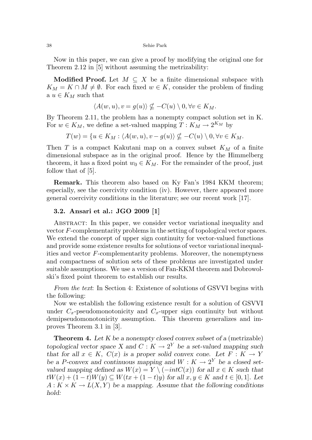#### 38 Sehie Park

Now in this paper, we can give a proof by modifying the original one for Theorem 2.12 in [5] without assuming the metrizability:

Modified Proof. Let  $M \subseteq X$  be a finite dimensional subspace with  $K_M = K \cap M \neq \emptyset$ . For each fixed  $w \in K$ , consider the problem of finding a  $u \in K_M$  such that

$$
\langle A(w, u), v = g(u) \rangle \nsubseteq -C(u) \setminus 0, \forall v \in K_M.
$$

By Theorem 2.11, the problem has a nonempty compact solution set in K. For  $w \in K_M$ , we define a set-valued mapping  $T: K_M \to 2^{K_M}$  by

 $T(w) = \{u \in K_M : \langle A(w, u), v - g(u) \rangle \nsubseteq -C(u) \setminus 0, \forall v \in K_M. \}$ 

Then  $T$  is a compact Kakutani map on a convex subset  $K_M$  of a finite dimensional subspace as in the original proof. Hence by the Himmelberg theorem, it has a fixed point  $w_0 \in K_M$ . For the remainder of the proof, just follow that of [5].

Remark. This theorem also based on Ky Fan's 1984 KKM theorem; especially, see the coercivity condition (iv). However, there appeared more general coercivity conditions in the literature; see our recent work [17].

#### 3.2. Ansari et al.: JGO 2009 [1]

Abstract: In this paper, we consider vector variational inequality and vector F-complementarity problems in the setting of topological vector spaces. We extend the concept of upper sign continuity for vector-valued functions and provide some existence results for solutions of vector variational inequalities and vector F-complementarity problems. Moreover, the nonemptyness and compactness of solution sets of these problems are investigated under suitable assumptions. We use a version of Fan-KKM theorem and Dobrowolski's fixed point theorem to establish our results.

From the text: In Section 4: Existence of solutions of GSVVI begins with the following:

Now we establish the following existence result for a solution of GSVVI under  $C_x$ -pseudomonotonicity and  $C_x$ -upper sign continuity but without demipseudomonotonicity assumption. This theorem generalizes and improves Theorem 3.1 in [3].

**Theorem 4.** Let  $K$  be a nonempty closed convex subset of a (metrizable) topological vector space X and  $C: K \to 2^Y$  be a set-valued mapping such that for all  $x \in K$ ,  $C(x)$  is a proper solid convex cone. Let  $F: K \to Y$ be a P-convex and continuous mapping and  $W: K \to 2^Y$  be a closed setvalued mapping defined as  $W(x) = Y \ (i>int C(x))$  for all  $x \in K$  such that  $tW(x) + (1-t)W(y) \subseteq W(tx + (1-t)y)$  for all  $x, y \in K$  and  $t \in [0,1]$ . Let  $A: K \times K \to L(X, Y)$  be a mapping. Assume that the following conditions hold: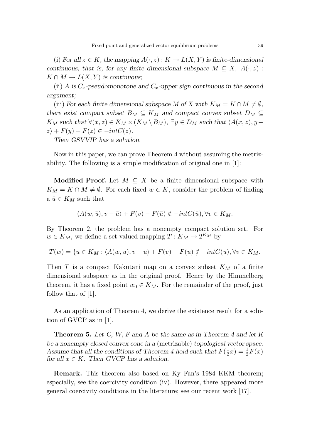(i) For all  $z \in K$ , the mapping  $A(\cdot, z) : K \to L(X, Y)$  is finite-dimensional continuous, that is, for any finite dimensional subspace  $M \subseteq X$ ,  $A(\cdot, z)$ :  $K \cap M \to L(X, Y)$  is continuous;

(ii) A is  $C_x$ -pseudomonotone and  $C_x$ -upper sign continuous in the second argument;

(iii) For each finite dimensional subspace M of X with  $K_M = K \cap M \neq \emptyset$ , there exist compact subset  $B_M \subseteq K_M$  and compact convex subset  $D_M \subseteq$  $K_M$  such that  $\forall (x, z) \in K_M \times (K_M \setminus B_M)$ ,  $\exists y \in D_M$  such that  $\langle A(x, z), y - B_M \rangle$  $z\rangle + F(y) - F(z) \in -intC(z).$ 

Then GSVVIP has a solution.

Now in this paper, we can prove Theorem 4 without assuming the metrizability. The following is a simple modification of original one in [1]:

Modified Proof. Let  $M \subseteq X$  be a finite dimensional subspace with  $K_M = K \cap M \neq \emptyset$ . For each fixed  $w \in K$ , consider the problem of finding a  $\bar{u} \in K_M$  such that

$$
\langle A(w,\bar{u}),v-\bar{u}\rangle + F(v) - F(\bar{u}) \notin -int(C(\bar{u}),\forall v \in K_M.
$$

By Theorem 2, the problem has a nonempty compact solution set. For  $w \in K_M$ , we define a set-valued mapping  $T: K_M \to 2^{K_M}$  by

$$
T(w) = \{u \in K_M : \langle A(w, u), v - u \rangle + F(v) - F(u) \notin -int(C(u), \forall v \in K_M.
$$

Then T is a compact Kakutani map on a convex subset  $K_M$  of a finite dimensional subspace as in the original proof. Hence by the Himmelberg theorem, it has a fixed point  $w_0 \in K_M$ . For the remainder of the proof, just follow that of [1].

As an application of Theorem 4, we derive the existence result for a solution of GVCP as in [1].

**Theorem 5.** Let C, W, F and A be the same as in Theorem 4 and let K be a nonempty closed convex cone in a (metrizable) topological vector space. Assume that all the conditions of Theorem 4 hold such that  $F(\frac{1}{2}x) = \frac{1}{2}F(x)$ for all  $x \in K$ . Then GVCP has a solution.

Remark. This theorem also based on Ky Fan's 1984 KKM theorem; especially, see the coercivity condition (iv). However, there appeared more general coercivity conditions in the literature; see our recent work [17].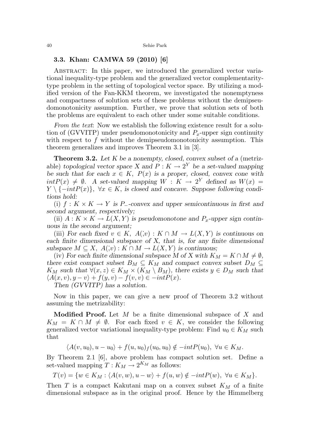### 3.3. Khan: CAMWA 59 (2010) [6]

Abstract: In this paper, we introduced the generalized vector variational inequality-type problem and the generalized vector complementaritytype problem in the setting of topological vector space. By utilizing a modified version of the Fan-KKM theorem, we investigated the nonemptyness and compactness of solution sets of these problems without the demipseudomonotonicity assumption. Further, we prove that solution sets of both the problems are equivalent to each other under some suitable conditions.

From the text: Now we establish the following existence result for a solution of (GVVITP) under pseudomonotonicity and  $P_x$ -upper sign continuity with respect to  $f$  without the demipseudomonotonicity assumption. This theorem generalizes and improves Theorem 3.1 in [3].

**Theorem 3.2.** Let K be a nonempty, closed, convex subset of a (metrizable) topological vector space X and  $P: K \to 2^Y$  be a set-valued mapping be such that for each  $x \in K$ ,  $P(x)$  is a proper, closed, convex cone with  $intP(x) \neq \emptyset$ . A set-valued mapping  $W : K \to 2^Y$  defined as  $W(x) =$  $Y \setminus \{-intP(x)\}, \ \forall x \in K$ , is closed and concave. Suppose following conditions hold:

(i)  $f: K \times K \to Y$  is P\_-convex and upper semicontinuous in first and second argument, respectively;

(ii)  $A: K \times K \to L(X, Y)$  is pseudomonotone and  $P_x$ -upper sign continuous in the second argument;

(iii) For each fixed  $v \in K$ ,  $A(x): K \cap M \to L(X, Y)$  is continuous on each finite dimensional subspace of X, that is, for any finite dimensional subspace  $M \subseteq X$ ,  $A(x): K \cap M \to L(X, Y)$  is continuous;

(iv) For each finite dimensional subspace M of X with  $K_M = K \cap M \neq \emptyset$ , there exist compact subset  $B_M \subseteq K_M$  and compact convex subset  $D_M \subseteq$  $K_M$  such that  $\forall (x, z) \in K_M \times (K_M \setminus B_M)$ , there exists  $y \in D_M$  such that  $\langle A(x, v), y - v \rangle + f(y, v) - f(v, v) \in -intP(x)$ .

Then (GVVITP) has a solution.

Now in this paper, we can give a new proof of Theorem 3.2 without assuming the metrizability:

**Modified Proof.** Let  $M$  be a finite dimensional subspace of  $X$  and  $K_M = K \cap M \neq \emptyset$ . For each fixed  $v \in K$ , we consider the following generalized vector variational inequality-type problem: Find  $u_0 \in K_M$  such that

$$
\langle A(v, u_0), u - u_0 \rangle + f(u, u_0)_f(u_0, u_0) \notin -intP(u_0), \ \forall u \in K_M.
$$

By Theorem 2.1 [6], above problem has compact solution set. Define a set-valued mapping  $T: K_M \to 2^{K_M}$  as follows:

$$
T(v) = \{ w \in K_M : \langle A(v, w), u - w \rangle + f(u, w) \notin -intP(w), \ \forall u \in K_M \}.
$$

Then  $T$  is a compact Kakutani map on a convex subset  $K_M$  of a finite dimensional subspace as in the original proof. Hence by the Himmelberg